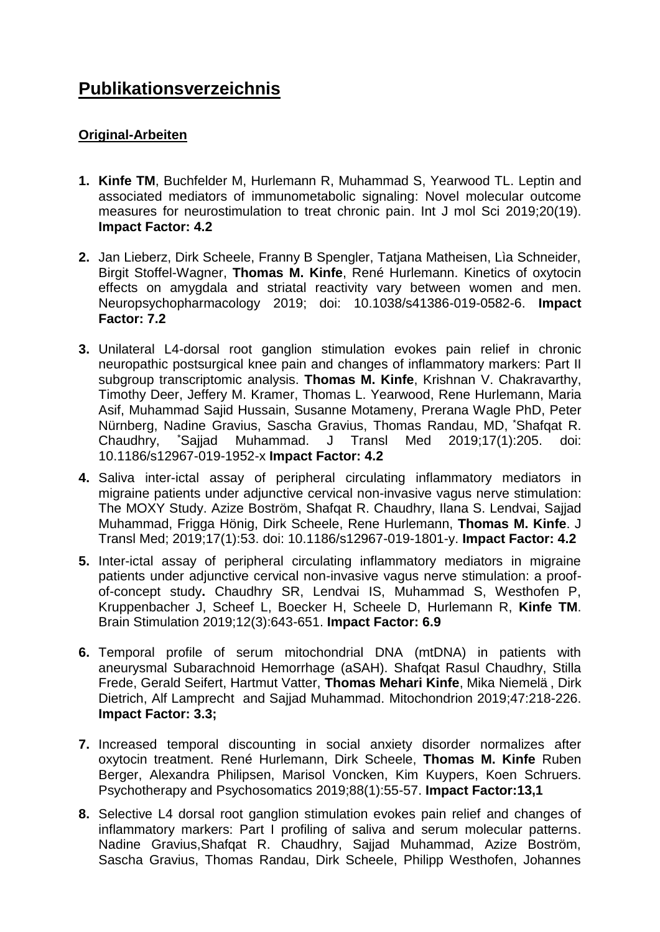# **Publikationsverzeichnis**

# **Original-Arbeiten**

- **1. Kinfe TM**, Buchfelder M, Hurlemann R, Muhammad S, Yearwood TL. Leptin and associated mediators of immunometabolic signaling: Novel molecular outcome measures for neurostimulation to treat chronic pain. Int J mol Sci 2019;20(19). **Impact Factor: 4.2**
- **2.** Jan Lieberz, Dirk Scheele, Franny B Spengler, Tatjana Matheisen, Lìa Schneider, Birgit Stoffel-Wagner, **Thomas M. Kinfe**, René Hurlemann. Kinetics of oxytocin effects on amygdala and striatal reactivity vary between women and men. Neuropsychopharmacology 2019; doi: 10.1038/s41386-019-0582-6. **Impact Factor: 7.2**
- **3.** Unilateral L4-dorsal root ganglion stimulation evokes pain relief in chronic neuropathic postsurgical knee pain and changes of inflammatory markers: Part II subgroup transcriptomic analysis. **Thomas M. Kinfe**, Krishnan V. Chakravarthy, Timothy Deer, Jeffery M. Kramer, Thomas L. Yearwood, Rene Hurlemann, Maria Asif, Muhammad Sajid Hussain, Susanne Motameny, Prerana Wagle PhD, Peter Nürnberg, Nadine Gravius, Sascha Gravius, Thomas Randau, MD, \*Shafqat R. Chaudhry, \*Sajjad Muhammad. J Transl Med 2019;17(1):205. doi: 10.1186/s12967-019-1952-x **Impact Factor: 4.2**
- **4.** Saliva inter-ictal assay of peripheral circulating inflammatory mediators in migraine patients under adjunctive cervical non-invasive vagus nerve stimulation: The MOXY Study. Azize Boström, Shafqat R. Chaudhry, Ilana S. Lendvai, Sajjad Muhammad, Frigga Hönig, Dirk Scheele, Rene Hurlemann, **Thomas M. Kinfe**. J Transl Med; 2019;17(1):53. doi: 10.1186/s12967-019-1801-y. **Impact Factor: 4.2**
- **5.** Inter-ictal assay of peripheral circulating inflammatory mediators in migraine patients under adjunctive cervical non-invasive vagus nerve stimulation: a proofof-concept study**.** Chaudhry SR, Lendvai IS, Muhammad S, Westhofen P, Kruppenbacher J, Scheef L, Boecker H, Scheele D, Hurlemann R, **Kinfe TM**. Brain Stimulation 2019;12(3):643-651. **Impact Factor: 6.9**
- **6.** Temporal profile of serum mitochondrial DNA (mtDNA) in patients with aneurysmal Subarachnoid Hemorrhage (aSAH). Shafqat Rasul Chaudhry, Stilla Frede, Gerald Seifert, Hartmut Vatter, **Thomas Mehari Kinfe**, Mika Niemelä , Dirk Dietrich, Alf Lamprecht and Sajjad Muhammad. Mitochondrion 2019;47:218-226. **Impact Factor: 3.3;**
- **7.** Increased temporal discounting in social anxiety disorder normalizes after oxytocin treatment. René Hurlemann, Dirk Scheele, **Thomas M. Kinfe** Ruben Berger, Alexandra Philipsen, Marisol Voncken, Kim Kuypers, Koen Schruers. Psychotherapy and Psychosomatics 2019;88(1):55-57. **Impact Factor:13,1**
- **8.** Selective L4 dorsal root ganglion stimulation evokes pain relief and changes of inflammatory markers: Part I profiling of saliva and serum molecular patterns. Nadine Gravius,Shafqat R. Chaudhry, Sajjad Muhammad, Azize Boström, Sascha Gravius, Thomas Randau, Dirk Scheele, Philipp Westhofen, Johannes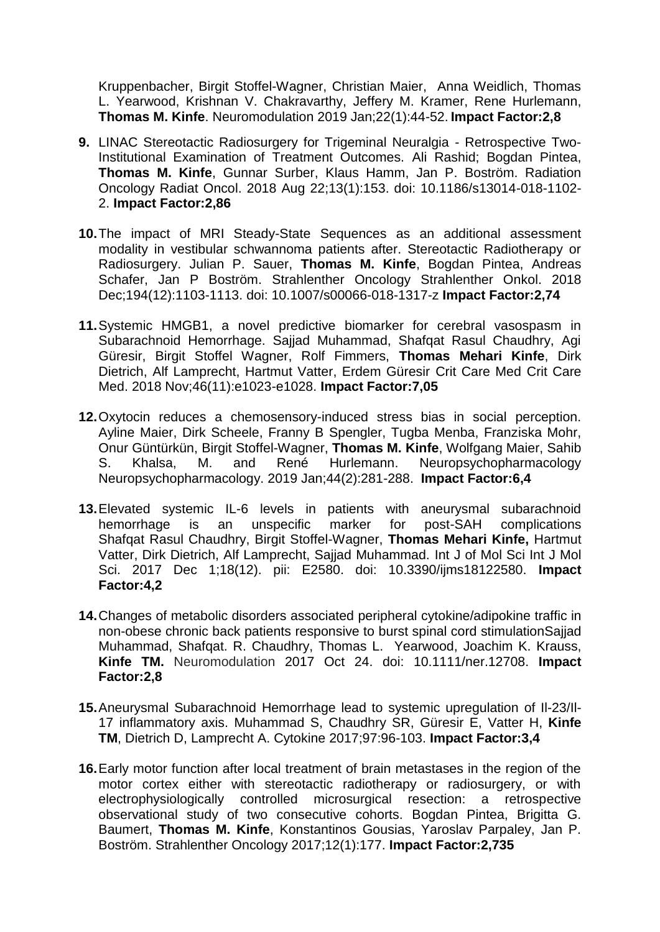Kruppenbacher, Birgit Stoffel-Wagner, Christian Maier, Anna Weidlich, Thomas L. Yearwood, Krishnan V. Chakravarthy, Jeffery M. Kramer, Rene Hurlemann, **Thomas M. Kinfe**. Neuromodulation 2019 Jan;22(1):44-52. **Impact Factor:2,8**

- **9.** LINAC Stereotactic Radiosurgery for Trigeminal Neuralgia Retrospective Two-Institutional Examination of Treatment Outcomes. Ali Rashid; Bogdan Pintea, **Thomas M. Kinfe**, Gunnar Surber, Klaus Hamm, Jan P. Boström. Radiation Oncology Radiat Oncol. 2018 Aug 22;13(1):153. doi: 10.1186/s13014-018-1102- 2. **Impact Factor:2,86**
- **10.**The impact of MRI Steady-State Sequences as an additional assessment modality in vestibular schwannoma patients after. Stereotactic Radiotherapy or Radiosurgery. Julian P. Sauer, **Thomas M. Kinfe**, Bogdan Pintea, Andreas Schafer, Jan P Boström. Strahlenther Oncology Strahlenther Onkol. 2018 Dec;194(12):1103-1113. doi: 10.1007/s00066-018-1317-z **Impact Factor:2,74**
- **11.**Systemic HMGB1, a novel predictive biomarker for cerebral vasospasm in Subarachnoid Hemorrhage. Sajjad Muhammad, Shafqat Rasul Chaudhry, Agi Güresir, Birgit Stoffel Wagner, Rolf Fimmers, **Thomas Mehari Kinfe**, Dirk Dietrich, Alf Lamprecht, Hartmut Vatter, Erdem Güresir Crit Care Med Crit Care Med. 2018 Nov;46(11):e1023-e1028. **Impact Factor:7,05**
- **12.**Oxytocin reduces a chemosensory-induced stress bias in social perception. Ayline Maier, Dirk Scheele, Franny B Spengler, Tugba Menba, Franziska Mohr, Onur Güntürkün, Birgit Stoffel-Wagner, **Thomas M. Kinfe**, Wolfgang Maier, Sahib S. Khalsa, M. and René Hurlemann. Neuropsychopharmacology Neuropsychopharmacology. 2019 Jan;44(2):281-288. **Impact Factor:6,4**
- **13.**Elevated systemic IL-6 levels in patients with aneurysmal subarachnoid hemorrhage is an unspecific marker for post-SAH complications Shafqat Rasul Chaudhry, Birgit Stoffel-Wagner, **Thomas Mehari Kinfe,** Hartmut Vatter, Dirk Dietrich, Alf Lamprecht, Sajjad Muhammad. Int J of Mol Sci Int J Mol Sci. 2017 Dec 1;18(12). pii: E2580. doi: 10.3390/ijms18122580. **Impact Factor:4,2**
- **14.**Changes of metabolic disorders associated peripheral cytokine/adipokine traffic in non-obese chronic back patients responsive to burst spinal cord stimulationSajjad Muhammad, Shafqat. R. Chaudhry, Thomas L. Yearwood, Joachim K. Krauss, **Kinfe TM.** Neuromodulation 2017 Oct 24. doi: 10.1111/ner.12708. **Impact Factor:2,8**
- **15.**Aneurysmal Subarachnoid Hemorrhage lead to systemic upregulation of Il-23/Il-17 inflammatory axis. Muhammad S, Chaudhry SR, Güresir E, Vatter H, **Kinfe TM**, Dietrich D, Lamprecht A. Cytokine 2017;97:96-103. **Impact Factor:3,4**
- **16.**Early motor function after local treatment of brain metastases in the region of the motor cortex either with stereotactic radiotherapy or radiosurgery, or with electrophysiologically controlled microsurgical resection: a retrospective observational study of two consecutive cohorts. Bogdan Pintea, Brigitta G. Baumert, **Thomas M. Kinfe**, Konstantinos Gousias, Yaroslav Parpaley, Jan P. Boström. Strahlenther Oncology 2017;12(1):177. **Impact Factor:2,735**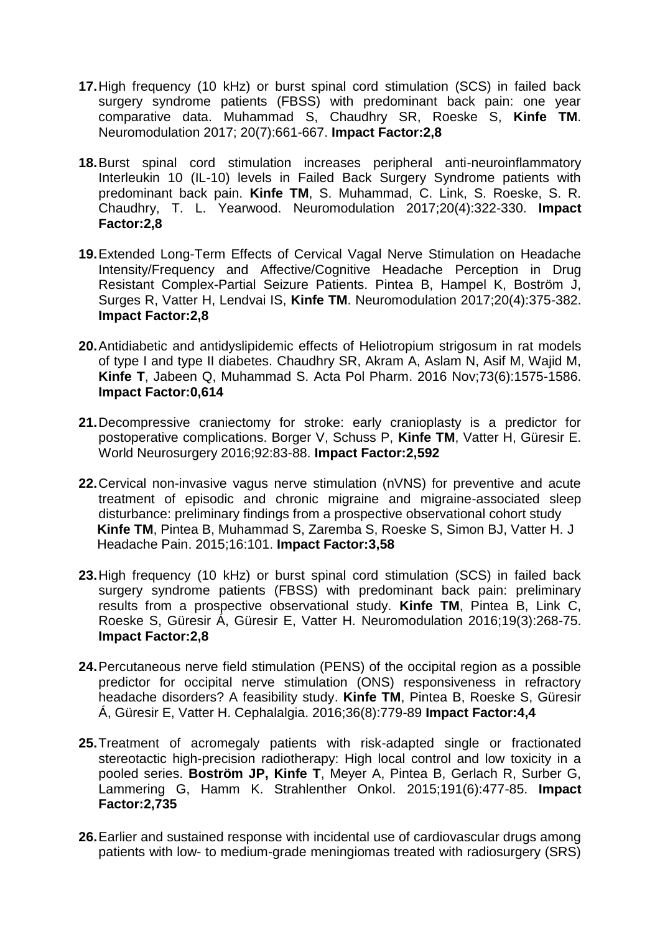- **17.**High frequency (10 kHz) or burst spinal cord stimulation (SCS) in failed back surgery syndrome patients (FBSS) with predominant back pain: one year comparative data. Muhammad S, Chaudhry SR, Roeske S, **Kinfe TM**. Neuromodulation 2017; 20(7):661-667. **Impact Factor:2,8**
- **18.**Burst spinal cord stimulation increases peripheral anti-neuroinflammatory Interleukin 10 (IL-10) levels in Failed Back Surgery Syndrome patients with predominant back pain. **Kinfe TM**, S. Muhammad, C. Link, S. Roeske, S. R. Chaudhry, T. L. Yearwood. Neuromodulation 2017;20(4):322-330. **Impact Factor:2,8**
- **19.**[Extended Long-Term Effects of Cervical Vagal Nerve Stimulation on Headache](https://www.ncbi.nlm.nih.gov/pubmed/27873376)  [Intensity/Frequency and Affective/Cognitive Headache Perception in Drug](https://www.ncbi.nlm.nih.gov/pubmed/27873376)  [Resistant Complex-Partial Seizure Patients.](https://www.ncbi.nlm.nih.gov/pubmed/27873376) Pintea B, Hampel K, Boström J, Surges R, Vatter H, Lendvai IS, **Kinfe TM**. Neuromodulation 2017;20(4):375-382. **Impact Factor:2,8**
- **20.**Antidiabetic and antidyslipidemic effects of Heliotropium strigosum in rat models of type I and type II diabetes. Chaudhry SR, Akram A, Aslam N, Asif M, Wajid M, **Kinfe T**, Jabeen Q, Muhammad S. Acta Pol Pharm. 2016 Nov;73(6):1575-1586. **Impact Factor:0,614**
- **21.**Decompressive craniectomy for stroke: early cranioplasty is a predictor for postoperative complications. Borger V, Schuss P, **Kinfe TM**, Vatter H, Güresir E. World Neurosurgery 2016;92:83-88. **Impact Factor:2,592**
- **22.**[Cervical](http://www.ncbi.nlm.nih.gov/pubmed/26487466) non-invasive vagus nerve stimulation (nVNS) for preventive and acute treatment of episodic and chronic migraine and migraine-associated sleep disturbance: preliminary findings from a prospective observational cohort study  **Kinfe TM**, Pintea B, Muhammad S, Zaremba S, Roeske S, Simon BJ, Vatter H. J Headache Pain. 2015;16:101. **Impact Factor:3,58**
- **23.**High frequency (10 kHz) or burst spinal cord stimulation (SCS) in failed back surgery syndrome patients (FBSS) with predominant back pain: preliminary results from a prospective observational study. **Kinfe TM**, Pintea B, Link C, Roeske S, Güresir Á, Güresir E, Vatter H. Neuromodulation 2016;19(3):268-75. **Impact Factor:2,8**
- **24.**[Percutaneous nerve field stimulation \(PENS\) of the occipital region as a possible](http://www.ncbi.nlm.nih.gov/pubmed/26487466)  [predictor for occipital nerve stimulation \(ONS\) responsiveness in refractory](http://www.ncbi.nlm.nih.gov/pubmed/26487466)  [headache disorders? A feasibility study.](http://www.ncbi.nlm.nih.gov/pubmed/26487466) **Kinfe TM**, Pintea B, Roeske S, Güresir Á, Güresir E, Vatter H. Cephalalgia. 2016;36(8):779-89 **Impact Factor:4,4**
- **25.**[Treatment of acromegaly patients with risk-adapted single or fractionated](http://www.ncbi.nlm.nih.gov/pubmed/25575977)  stereotactic high-precision radiotherapy: High local control and low toxicity in a [pooled series.](http://www.ncbi.nlm.nih.gov/pubmed/25575977) **Boström JP, Kinfe T**, Meyer A, Pintea B, Gerlach R, Surber G, Lammering G, Hamm K. Strahlenther Onkol. 2015;191(6):477-85. **Impact Factor:2,735**
- **26.**[Earlier and sustained response with incidental use of cardiovascular drugs among](http://www.ncbi.nlm.nih.gov/pubmed/24998705)  patients with low- [to medium-grade meningiomas treated with radiosurgery \(SRS\)](http://www.ncbi.nlm.nih.gov/pubmed/24998705)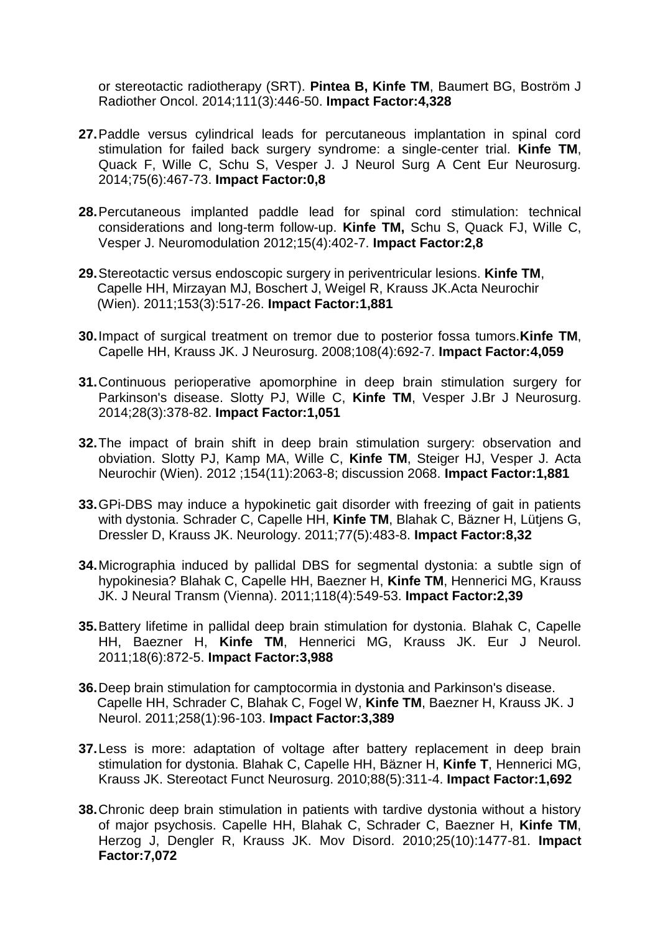[or stereotactic radiotherapy \(SRT\).](http://www.ncbi.nlm.nih.gov/pubmed/24998705) **Pintea B, Kinfe TM**, Baumert BG, Boström J Radiother Oncol. 2014;111(3):446-50. **Impact Factor:4,328**

- **27.**[Paddle versus cylindrical leads for percutaneous implantation in spinal cord](http://www.ncbi.nlm.nih.gov/pubmed/24793061)  [stimulation for failed back surgery syndrome: a single-center trial.](http://www.ncbi.nlm.nih.gov/pubmed/24793061) **Kinfe TM**, Quack F, Wille C, Schu S, Vesper J. J Neurol Surg A Cent Eur Neurosurg. 2014;75(6):467-73. **Impact Factor:0,8**
- **28.**[Percutaneous implanted paddle lead for spinal cord stimulation: technical](http://www.ncbi.nlm.nih.gov/pubmed/22672364)  [considerations and long-term follow-up.](http://www.ncbi.nlm.nih.gov/pubmed/22672364) **Kinfe TM,** Schu S, Quack FJ, Wille C, Vesper J. Neuromodulation 2012;15(4):402-7. **Impact Factor:2,8**
- **29.**[Stereotactic versus endoscopic surgery in periventricular lesions.](http://www.ncbi.nlm.nih.gov/pubmed/21243379) **Kinfe TM**, Capelle HH, Mirzayan MJ, Boschert J, Weigel R, Krauss JK.Acta Neurochir (Wien). 2011;153(3):517-26. **Impact Factor:1,881**
- **30.**[Impact of surgical treatment on tremor due to posterior fossa tumors.](http://www.ncbi.nlm.nih.gov/pubmed/18377248)**Kinfe TM**, Capelle HH, Krauss JK. J Neurosurg. 2008;108(4):692-7. **Impact Factor:4,059**
- **31.**[Continuous perioperative apomorphine in deep brain stimulation surgery for](http://www.ncbi.nlm.nih.gov/pubmed/24073755)  [Parkinson's disease.](http://www.ncbi.nlm.nih.gov/pubmed/24073755) Slotty PJ, Wille C, **Kinfe TM**, Vesper J.Br J Neurosurg. 2014;28(3):378-82. **Impact Factor:1,051**
- **32.**[The impact of brain shift in deep brain stimulation surgery: observation and](http://www.ncbi.nlm.nih.gov/pubmed/22932863)  [obviation.](http://www.ncbi.nlm.nih.gov/pubmed/22932863) Slotty PJ, Kamp MA, Wille C, **Kinfe TM**, Steiger HJ, Vesper J. Acta Neurochir (Wien). 2012 ;154(11):2063-8; discussion 2068. **Impact Factor:1,881**
- **33.**[GPi-DBS may induce a hypokinetic gait disorder with freezing of gait in patients](http://www.ncbi.nlm.nih.gov/pubmed/21775741)  [with dystonia.](http://www.ncbi.nlm.nih.gov/pubmed/21775741) Schrader C, Capelle HH, **Kinfe TM**, Blahak C, Bäzner H, Lütjens G, Dressler D, Krauss JK. Neurology. 2011;77(5):483-8. **Impact Factor:8,32**
- **34.**[Micrographia induced by pallidal DBS for segmental dystonia: a subtle sign of](http://www.ncbi.nlm.nih.gov/pubmed/21246224)  [hypokinesia?](http://www.ncbi.nlm.nih.gov/pubmed/21246224) Blahak C, Capelle HH, Baezner H, **Kinfe TM**, Hennerici MG, Krauss JK. J Neural Transm (Vienna). 2011;118(4):549-53. **Impact Factor:2,39**
- **35.**[Battery lifetime in pallidal deep brain stimulation for dystonia.](http://www.ncbi.nlm.nih.gov/pubmed/21159072) Blahak C, Capelle HH, Baezner H, **Kinfe TM**, Hennerici MG, Krauss JK. Eur J Neurol. 2011;18(6):872-5. **Impact Factor:3,988**
- **36.**[Deep brain stimulation for camptocormia in dystonia and Parkinson's disease.](http://www.ncbi.nlm.nih.gov/pubmed/20803027) Capelle HH, Schrader C, Blahak C, Fogel W, **Kinfe TM**, Baezner H, Krauss JK. J Neurol. 2011;258(1):96-103. **Impact Factor:3,389**
- **37.**[Less is more: adaptation of voltage after battery replacement in deep brain](http://www.ncbi.nlm.nih.gov/pubmed/20714210)  [stimulation for dystonia.](http://www.ncbi.nlm.nih.gov/pubmed/20714210) Blahak C, Capelle HH, Bäzner H, **Kinfe T**, Hennerici MG, Krauss JK. Stereotact Funct Neurosurg. 2010;88(5):311-4. **Impact Factor:1,692**
- **38.**[Chronic deep brain stimulation in patients with tardive dystonia without a history](http://www.ncbi.nlm.nih.gov/pubmed/20629157)  [of major psychosis.](http://www.ncbi.nlm.nih.gov/pubmed/20629157) Capelle HH, Blahak C, Schrader C, Baezner H, **Kinfe TM**, Herzog J, Dengler R, Krauss JK. Mov Disord. 2010;25(10):1477-81. **Impact Factor:7,072**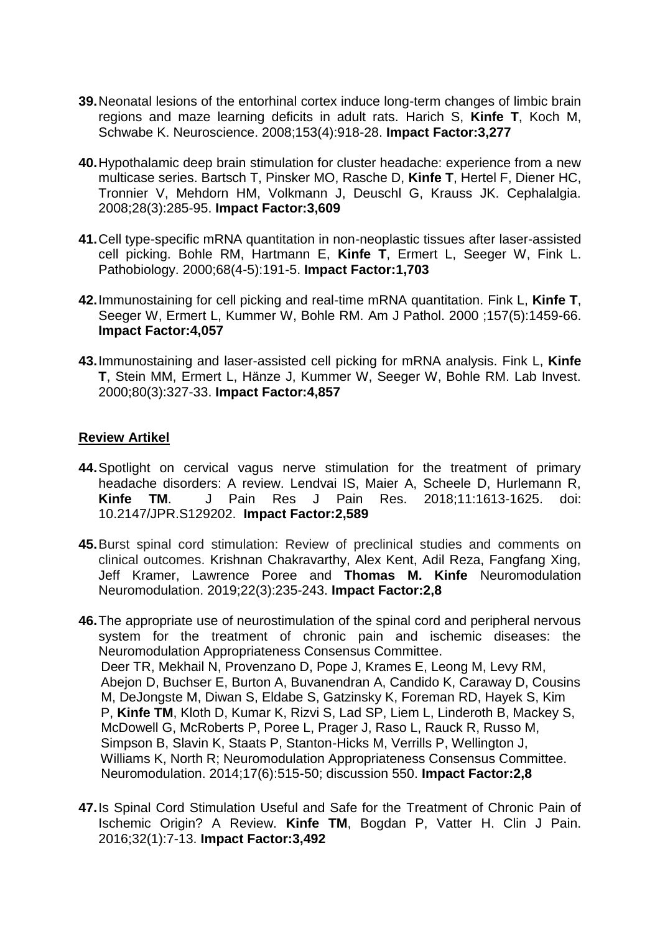- **39.**[Neonatal lesions of the entorhinal cortex induce long-term changes of limbic brain](http://www.ncbi.nlm.nih.gov/pubmed/18434030)  [regions and maze learning deficits in adult rats.](http://www.ncbi.nlm.nih.gov/pubmed/18434030) Harich S, **Kinfe T**, Koch M, Schwabe K. Neuroscience. 2008;153(4):918-28. **Impact Factor:3,277**
- **40.**[Hypothalamic deep brain stimulation for cluster headache: experience from a new](http://www.ncbi.nlm.nih.gov/pubmed/18254897)  [multicase series.](http://www.ncbi.nlm.nih.gov/pubmed/18254897) Bartsch T, Pinsker MO, Rasche D, **Kinfe T**, Hertel F, Diener HC, Tronnier V, Mehdorn HM, Volkmann J, Deuschl G, Krauss JK. Cephalalgia. 2008;28(3):285-95. **Impact Factor:3,609**
- **41.**[Cell type-specific mRNA quantitation in non-neoplastic tissues after laser-assisted](http://www.ncbi.nlm.nih.gov/pubmed/11279345)  [cell picking.](http://www.ncbi.nlm.nih.gov/pubmed/11279345) Bohle RM, Hartmann E, **Kinfe T**, Ermert L, Seeger W, Fink L. Pathobiology. 2000;68(4-5):191-5. **Impact Factor:1,703**
- **42.**[Immunostaining for cell picking and real-time mRNA quantitation.](http://www.ncbi.nlm.nih.gov/pubmed/11073806) Fink L, **Kinfe T**, Seeger W, Ermert L, Kummer W, Bohle RM. Am J Pathol. 2000 ;157(5):1459-66. **Impact Factor:4,057**
- **43.**[Immunostaining and laser-assisted cell picking for mRNA analysis.](http://www.ncbi.nlm.nih.gov/pubmed/10744068) Fink L, **Kinfe T**, Stein MM, Ermert L, Hänze J, Kummer W, Seeger W, Bohle RM. Lab Invest. 2000;80(3):327-33. **Impact Factor:4,857**

## **Review Artikel**

- **44.**Spotlight on cervical vagus nerve stimulation for the treatment of primary headache disorders: A review. Lendvai IS, Maier A, Scheele D, Hurlemann R, **Kinfe TM**. J Pain Res J Pain Res. 2018;11:1613-1625. doi: 10.2147/JPR.S129202. **Impact Factor:2,589**
- **45.**Burst spinal cord stimulation: Review of preclinical studies and comments on clinical outcomes. Krishnan Chakravarthy, Alex Kent, Adil Reza, Fangfang Xing, Jeff Kramer, Lawrence Poree and **Thomas M. Kinfe** Neuromodulation Neuromodulation. 2019;22(3):235-243. **Impact Factor:2,8**
- **46.**[The appropriate use of neurostimulation of the spinal cord and peripheral nervous](http://www.ncbi.nlm.nih.gov/pubmed/25112889)  [system for the treatment of chronic pain and ischemic diseases: the](http://www.ncbi.nlm.nih.gov/pubmed/25112889)  [Neuromodulation Appropriateness Consensus Committee.](http://www.ncbi.nlm.nih.gov/pubmed/25112889) Deer TR, Mekhail N, Provenzano D, Pope J, Krames E, Leong M, Levy RM, Abejon D, Buchser E, Burton A, Buvanendran A, Candido K, Caraway D, Cousins M, DeJongste M, Diwan S, Eldabe S, Gatzinsky K, Foreman RD, Hayek S, Kim P, **Kinfe TM**, Kloth D, Kumar K, Rizvi S, Lad SP, Liem L, Linderoth B, Mackey S, McDowell G, McRoberts P, Poree L, Prager J, Raso L, Rauck R, Russo M, Simpson B, Slavin K, Staats P, Stanton-Hicks M, Verrills P, Wellington J, Williams K, North R; Neuromodulation Appropriateness Consensus Committee. Neuromodulation. 2014;17(6):515-50; discussion 550. **Impact Factor:2,8**
- **47.**[Is Spinal Cord Stimulation Useful and Safe for the Treatment of Chronic Pain of](http://www.ncbi.nlm.nih.gov/pubmed/25760739)  [Ischemic Origin? A Review.](http://www.ncbi.nlm.nih.gov/pubmed/25760739) **Kinfe TM**, Bogdan P, Vatter H. Clin J Pain. 2016;32(1):7-13. **Impact Factor:3,492**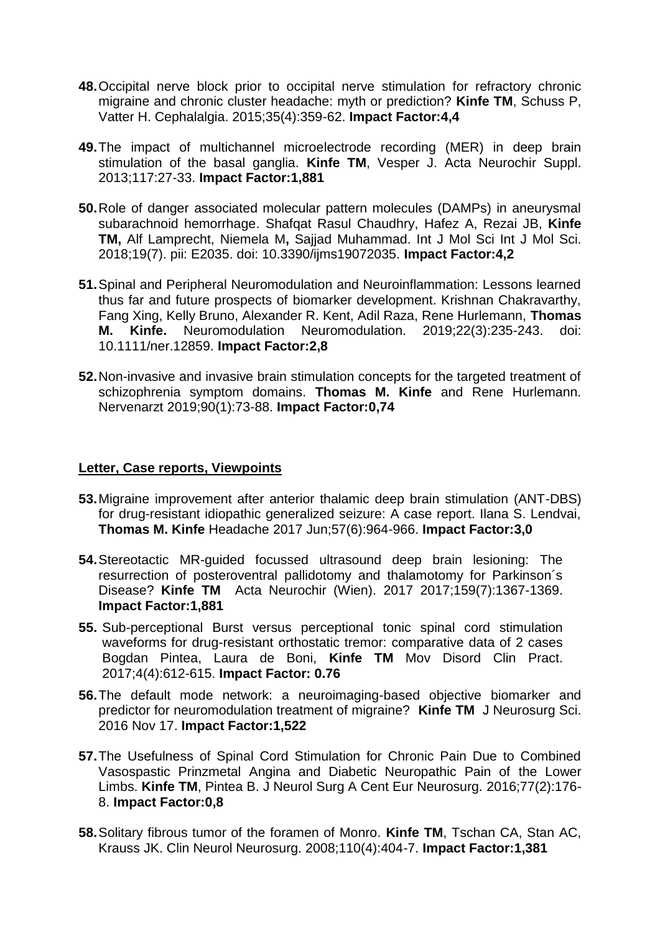- **48.**[Occipital nerve block prior to occipital nerve stimulation for refractory chronic](http://www.ncbi.nlm.nih.gov/pubmed/24989870)  [migraine and chronic cluster headache: myth or prediction?](http://www.ncbi.nlm.nih.gov/pubmed/24989870) **Kinfe TM**, Schuss P, Vatter H. Cephalalgia. 2015;35(4):359-62. **Impact Factor:4,4**
- **49.**[The impact of multichannel microelectrode recording \(MER\) in deep brain](http://www.ncbi.nlm.nih.gov/pubmed/23652653)  [stimulation of the basal ganglia.](http://www.ncbi.nlm.nih.gov/pubmed/23652653) **Kinfe TM**, Vesper J. Acta Neurochir Suppl. 2013;117:27-33. **Impact Factor:1,881**
- **50.**Role of danger associated molecular pattern molecules (DAMPs) in aneurysmal subarachnoid hemorrhage. Shafqat Rasul Chaudhry, Hafez A, Rezai JB, **Kinfe TM,** Alf Lamprecht, Niemela M**,** Sajjad Muhammad. Int J Mol Sci Int J Mol Sci. 2018;19(7). pii: E2035. doi: 10.3390/ijms19072035. **Impact Factor:4,2**
- **51.**Spinal and Peripheral Neuromodulation and Neuroinflammation: Lessons learned thus far and future prospects of biomarker development. Krishnan Chakravarthy, Fang Xing, Kelly Bruno, Alexander R. Kent, Adil Raza, Rene Hurlemann, **Thomas M. Kinfe.** Neuromodulation Neuromodulation. 2019;22(3):235-243. doi: 10.1111/ner.12859. **Impact Factor:2,8**
- **52.**Non-invasive and invasive brain stimulation concepts for the targeted treatment of schizophrenia symptom domains. **Thomas M. Kinfe** and Rene Hurlemann. Nervenarzt 2019;90(1):73-88. **Impact Factor:0,74**

#### **Letter, Case reports, Viewpoints**

- **53.**Migraine improvement after anterior thalamic deep brain stimulation (ANT-DBS) for drug-resistant idiopathic generalized seizure: A case report. Ilana S. Lendvai, **Thomas M. Kinfe** Headache 2017 Jun;57(6):964-966. **Impact Factor:3,0**
- **54.**Stereotactic MR-guided focussed ultrasound deep brain lesioning: The resurrection of posteroventral pallidotomy and thalamotomy for Parkinson´s Disease? **Kinfe TM** Acta Neurochir (Wien). 2017 2017;159(7):1367-1369. **Impact Factor:1,881**
- **55.** Sub-perceptional Burst versus perceptional tonic spinal cord stimulation waveforms for drug-resistant orthostatic tremor: comparative data of 2 cases Bogdan Pintea, Laura de Boni, **Kinfe TM** Mov Disord Clin Pract. 2017;4(4):612-615. **Impact Factor: 0.76**
- **56.**[The default mode network: a neuroimaging-based objective biomarker and](https://www.ncbi.nlm.nih.gov/pubmed/27854108)  [predictor for neuromodulation treatment of migraine?](https://www.ncbi.nlm.nih.gov/pubmed/27854108) **Kinfe TM** J Neurosurg Sci. 2016 Nov 17. **Impact Factor:1,522**
- **57.**[The Usefulness of Spinal Cord Stimulation for Chronic Pain Due to Combined](http://www.ncbi.nlm.nih.gov/pubmed/26238940)  [Vasospastic Prinzmetal Angina and Diabetic Neuropathic Pain of](http://www.ncbi.nlm.nih.gov/pubmed/26238940) the Lower [Limbs.](http://www.ncbi.nlm.nih.gov/pubmed/26238940) **Kinfe TM**, Pintea B. J Neurol Surg A Cent Eur Neurosurg. 2016;77(2):176- 8. **Impact Factor:0,8**
- **58.**[Solitary fibrous tumor of the foramen of Monro.](http://www.ncbi.nlm.nih.gov/pubmed/18243526) **Kinfe TM**, Tschan CA, Stan AC, Krauss JK. Clin Neurol Neurosurg. 2008;110(4):404-7. **Impact Factor:1,381**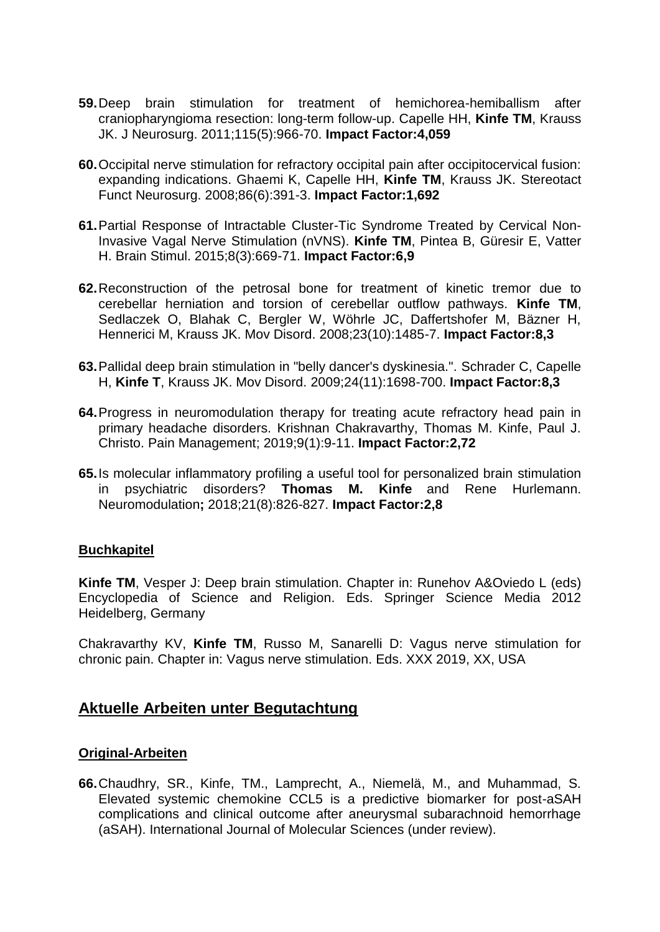- **59.**[Deep brain stimulation for treatment of hemichorea-hemiballism after](http://www.ncbi.nlm.nih.gov/pubmed/21819190)  [craniopharyngioma resection: long-term follow-up.](http://www.ncbi.nlm.nih.gov/pubmed/21819190) Capelle HH, **Kinfe TM**, Krauss JK. J Neurosurg. 2011;115(5):966-70. **Impact Factor:4,059**
- **60.**[Occipital nerve stimulation for refractory occipital pain after occipitocervical fusion:](http://www.ncbi.nlm.nih.gov/pubmed/19033708) [expanding indications.](http://www.ncbi.nlm.nih.gov/pubmed/19033708) Ghaemi K, Capelle HH, **Kinfe TM**, Krauss JK. Stereotact Funct Neurosurg. 2008;86(6):391-3. **Impact Factor:1,692**
- **61.**[Partial Response of Intractable Cluster-Tic Syndrome Treated by Cervical Non-](http://www.ncbi.nlm.nih.gov/pubmed/25660504)[Invasive Vagal Nerve Stimulation \(nVNS\).](http://www.ncbi.nlm.nih.gov/pubmed/25660504) **Kinfe TM**, Pintea B, Güresir E, Vatter H. Brain Stimul. 2015;8(3):669-71. **Impact Factor:6,9**
- **62.**[Reconstruction of the petrosal bone for treatment of kinetic tremor due to](http://www.ncbi.nlm.nih.gov/pubmed/18546298)  [cerebellar herniation and torsion of cerebellar outflow pathways.](http://www.ncbi.nlm.nih.gov/pubmed/18546298) **Kinfe TM**, Sedlaczek O, Blahak C, Bergler W, Wöhrle JC, Daffertshofer M, Bäzner H, Hennerici M, Krauss JK. Mov Disord. 2008;23(10):1485-7. **Impact Factor:8,3**
- **63.**[Pallidal deep brain stimulation in "belly dancer's dyskinesia.".](http://www.ncbi.nlm.nih.gov/pubmed/19452564) Schrader C, Capelle H, **Kinfe T**, Krauss JK. Mov Disord. 2009;24(11):1698-700. **Impact Factor:8,3**
- **64.**Progress in neuromodulation therapy for treating acute refractory head pain in primary headache disorders. Krishnan Chakravarthy, Thomas M. Kinfe, Paul J. Christo. Pain Management; 2019;9(1):9-11. **Impact Factor:2,72**
- **65.**Is molecular inflammatory profiling a useful tool for personalized brain stimulation in psychiatric disorders? **Thomas M. Kinfe** and Rene Hurlemann. Neuromodulation**;** 2018;21(8):826-827. **Impact Factor:2,8**

## **Buchkapitel**

**Kinfe TM**, Vesper J: Deep brain stimulation. Chapter in: Runehov A&Oviedo L (eds) Encyclopedia of Science and Religion. Eds. Springer Science Media 2012 Heidelberg, Germany

Chakravarthy KV, **Kinfe TM**, Russo M, Sanarelli D: Vagus nerve stimulation for chronic pain. Chapter in: Vagus nerve stimulation. Eds. XXX 2019, XX, USA

## **Aktuelle Arbeiten unter Begutachtung**

#### **Original-Arbeiten**

**66.**Chaudhry, SR., Kinfe, TM., Lamprecht, A., Niemelä, M., and Muhammad, S. Elevated systemic chemokine CCL5 is a predictive biomarker for post-aSAH complications and clinical outcome after aneurysmal subarachnoid hemorrhage (aSAH). International Journal of Molecular Sciences (under review).